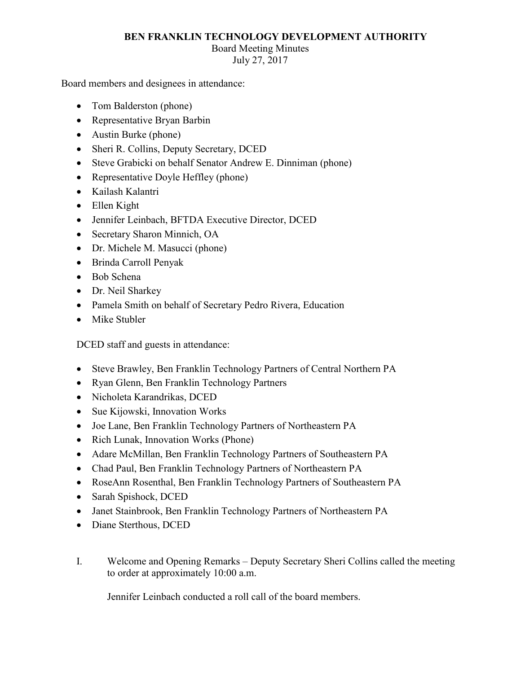## **BEN FRANKLIN TECHNOLOGY DEVELOPMENT AUTHORITY**

## Board Meeting Minutes

July 27, 2017

Board members and designees in attendance:

- Tom Balderston (phone)
- Representative Bryan Barbin
- Austin Burke (phone)
- Sheri R. Collins, Deputy Secretary, DCED
- Steve Grabicki on behalf Senator Andrew E. Dinniman (phone)
- Representative Doyle Heffley (phone)
- Kailash Kalantri
- Ellen Kight
- Jennifer Leinbach, BFTDA Executive Director, DCED
- Secretary Sharon Minnich, OA
- Dr. Michele M. Masucci (phone)
- Brinda Carroll Penyak
- Bob Schena
- Dr. Neil Sharkey
- Pamela Smith on behalf of Secretary Pedro Rivera, Education
- Mike Stubler

DCED staff and guests in attendance:

- Steve Brawley, Ben Franklin Technology Partners of Central Northern PA
- Ryan Glenn, Ben Franklin Technology Partners
- Nicholeta Karandrikas, DCED
- Sue Kijowski, Innovation Works
- Joe Lane, Ben Franklin Technology Partners of Northeastern PA
- Rich Lunak, Innovation Works (Phone)
- Adare McMillan, Ben Franklin Technology Partners of Southeastern PA
- Chad Paul, Ben Franklin Technology Partners of Northeastern PA
- RoseAnn Rosenthal, Ben Franklin Technology Partners of Southeastern PA
- Sarah Spishock, DCED
- Janet Stainbrook, Ben Franklin Technology Partners of Northeastern PA
- Diane Sterthous, DCED
- to order at approximately 10:00 a.m. I. Welcome and Opening Remarks – Deputy Secretary Sheri Collins called the meeting

Jennifer Leinbach conducted a roll call of the board members.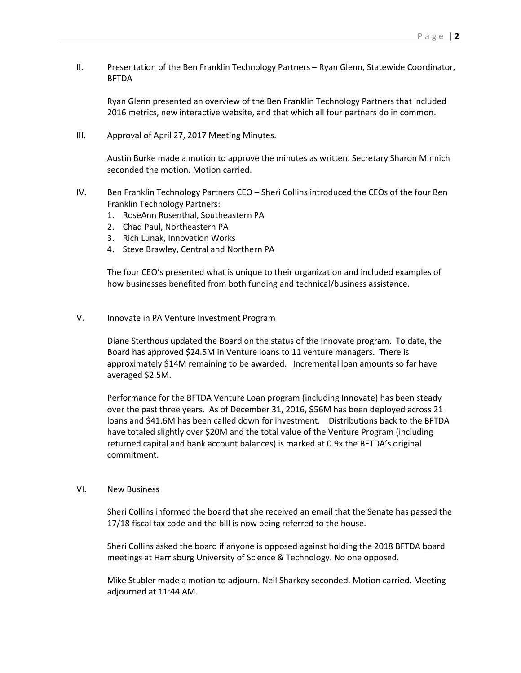II. Presentation of the Ben Franklin Technology Partners – Ryan Glenn, Statewide Coordinator, BFTDA

 Ryan Glenn presented an overview of the Ben Franklin Technology Partners that included 2016 metrics, new interactive website, and that which all four partners do in common.

III. Approval of April 27, 2017 Meeting Minutes.

Austin Burke made a motion to approve the minutes as written. Secretary Sharon Minnich seconded the motion. Motion carried.

- IV. Ben Franklin Technology Partners CEO Sheri Collins introduced the CEOs of the four Ben Franklin Technology Partners:
	- 1. RoseAnn Rosenthal, Southeastern PA
	- 2. Chad Paul, Northeastern PA
	- 3. Rich Lunak, Innovation Works
	- 4. Steve Brawley, Central and Northern PA

The four CEO's presented what is unique to their organization and included examples of how businesses benefited from both funding and technical/business assistance.

V. Innovate in PA Venture Investment Program

Diane Sterthous updated the Board on the status of the Innovate program. To date, the Board has approved \$24.5M in Venture loans to 11 venture managers. There is approximately \$14M remaining to be awarded. Incremental loan amounts so far have averaged \$2.5M.

 over the past three years. As of December 31, 2016, \$56M has been deployed across 21 have totaled slightly over \$20M and the total value of the Venture Program (including Performance for the BFTDA Venture Loan program (including Innovate) has been steady loans and \$41.6M has been called down for investment. Distributions back to the BFTDA returned capital and bank account balances) is marked at 0.9x the BFTDA's original commitment.

## VI. New Business

 17/18 fiscal tax code and the bill is now being referred to the house. Sheri Collins informed the board that she received an email that the Senate has passed the

Sheri Collins asked the board if anyone is opposed against holding the 2018 BFTDA board meetings at Harrisburg University of Science & Technology. No one opposed.

 Mike Stubler made a motion to adjourn. Neil Sharkey seconded. Motion carried. Meeting adjourned at 11:44 AM.